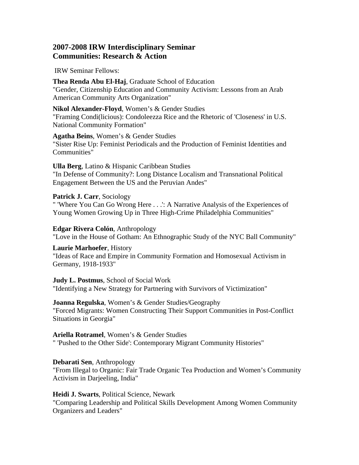# **2007-2008 IRW Interdisciplinary Seminar Communities: Research & Action**

IRW Seminar Fellows:

**Thea Renda Abu El-Haj**, Graduate School of Education "Gender, Citizenship Education and Community Activism: Lessons from an Arab American Community Arts Organization"

**Nikol Alexander-Floyd**, Women's & Gender Studies "Framing Condi(licious): Condoleezza Rice and the Rhetoric of 'Closeness' in U.S. National Community Formation"

**Agatha Beins**, Women's & Gender Studies "Sister Rise Up: Feminist Periodicals and the Production of Feminist Identities and Communities"

**Ulla Berg**, Latino & Hispanic Caribbean Studies "In Defense of Community?: Long Distance Localism and Transnational Political Engagement Between the US and the Peruvian Andes"

**Patrick J. Carr**, Sociology " 'Where You Can Go Wrong Here . . .': A Narrative Analysis of the Experiences of Young Women Growing Up in Three High-Crime Philadelphia Communities"

**Edgar Rivera Colón**, Anthropology "Love in the House of Gotham: An Ethnographic Study of the NYC Ball Community"

**Laurie Marhoefer**, History "Ideas of Race and Empire in Community Formation and Homosexual Activism in Germany, 1918-1933"

**Judy L. Postmus**, School of Social Work "Identifying a New Strategy for Partnering with Survivors of Victimization"

**Joanna Regulska**, Women's & Gender Studies/Geography "Forced Migrants: Women Constructing Their Support Communities in Post-Conflict Situations in Georgia"

**Ariella Rotramel**, Women's & Gender Studies " 'Pushed to the Other Side': Contemporary Migrant Community Histories"

**Debarati Sen**, Anthropology "From Illegal to Organic: Fair Trade Organic Tea Production and Women's Community Activism in Darjeeling, India"

**Heidi J. Swarts**, Political Science, Newark

"Comparing Leadership and Political Skills Development Among Women Community Organizers and Leaders"